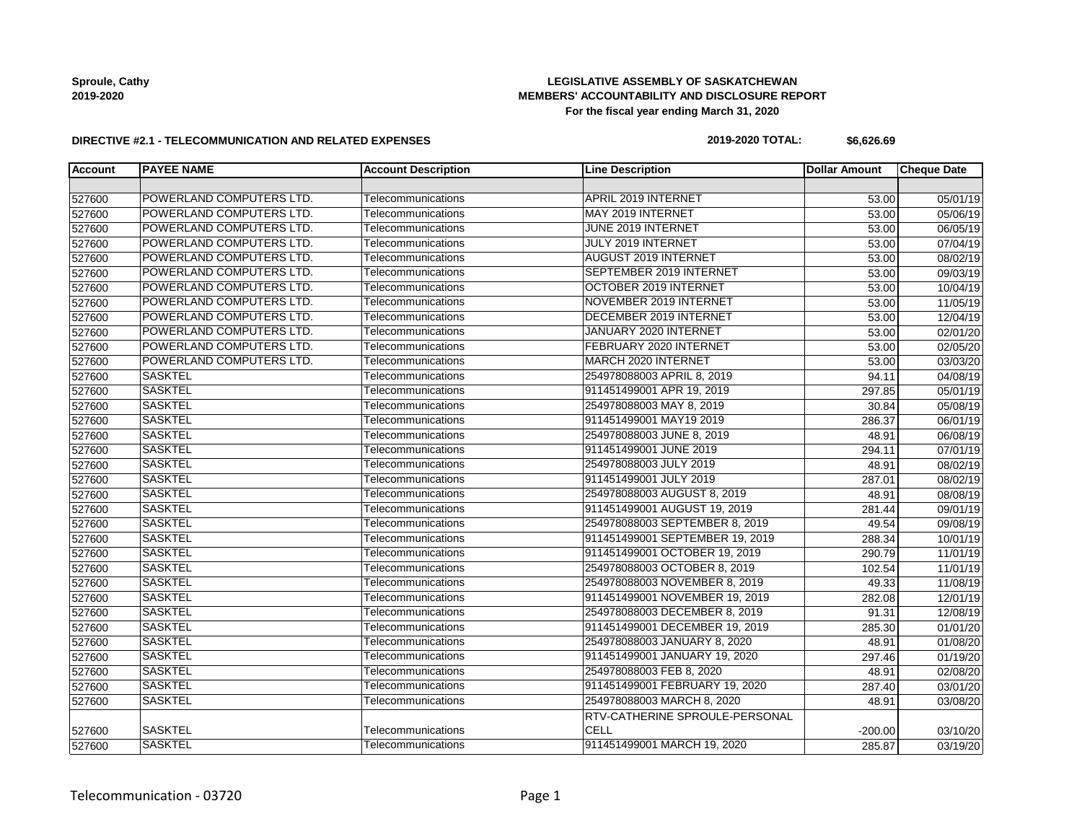## **LEGISLATIVE ASSEMBLY OF SASKATCHEWAN MEMBERS' ACCOUNTABILITY AND DISCLOSURE REPORT For the fiscal year ending March 31, 2020**

#### **DIRECTIVE #2.1 - TELECOMMUNICATION AND RELATED EXPENSES**

#### **2019-2020 TOTAL: \$6,626.69**

| <b>Account</b> | <b>PAYEE NAME</b>        | <b>Account Description</b> | <b>Line Description</b>               | <b>Dollar Amount</b> | <b>Cheque Date</b> |
|----------------|--------------------------|----------------------------|---------------------------------------|----------------------|--------------------|
|                |                          |                            |                                       |                      |                    |
| 527600         | POWERLAND COMPUTERS LTD. | Telecommunications         | <b>APRIL 2019 INTERNET</b>            | 53.00                | 05/01/19           |
| 527600         | POWERLAND COMPUTERS LTD. | Telecommunications         | MAY 2019 INTERNET                     | 53.00                | 05/06/19           |
| 527600         | POWERLAND COMPUTERS LTD. | Telecommunications         | JUNE 2019 INTERNET                    | 53.00                | 06/05/19           |
| 527600         | POWERLAND COMPUTERS LTD. | Telecommunications         | JULY 2019 INTERNET                    | 53.00                | 07/04/19           |
| 527600         | POWERLAND COMPUTERS LTD. | Telecommunications         | <b>AUGUST 2019 INTERNET</b>           | 53.00                | 08/02/19           |
| 527600         | POWERLAND COMPUTERS LTD. | Telecommunications         | SEPTEMBER 2019 INTERNET               | 53.00                | 09/03/19           |
| 527600         | POWERLAND COMPUTERS LTD. | Telecommunications         | OCTOBER 2019 INTERNET                 | 53.00                | 10/04/19           |
| 527600         | POWERLAND COMPUTERS LTD. | Telecommunications         | NOVEMBER 2019 INTERNET                | 53.00                | 11/05/19           |
| 527600         | POWERLAND COMPUTERS LTD. | Telecommunications         | DECEMBER 2019 INTERNET                | 53.00                | 12/04/19           |
| 527600         | POWERLAND COMPUTERS LTD. | Telecommunications         | JANUARY 2020 INTERNET                 | 53.00                | 02/01/20           |
| 527600         | POWERLAND COMPUTERS LTD. | Telecommunications         | FEBRUARY 2020 INTERNET                | 53.00                | 02/05/20           |
| 527600         | POWERLAND COMPUTERS LTD. | Telecommunications         | MARCH 2020 INTERNET                   | 53.00                | 03/03/20           |
| 527600         | <b>SASKTEL</b>           | Telecommunications         | 254978088003 APRIL 8, 2019            | 94.11                | 04/08/19           |
| 527600         | <b>SASKTEL</b>           | Telecommunications         | 911451499001 APR 19, 2019             | 297.85               | 05/01/19           |
| 527600         | <b>SASKTEL</b>           | Telecommunications         | 254978088003 MAY 8, 2019              | 30.84                | 05/08/19           |
| 527600         | <b>SASKTEL</b>           | Telecommunications         | 911451499001 MAY19 2019               | 286.37               | 06/01/19           |
| 527600         | <b>SASKTEL</b>           | Telecommunications         | 254978088003 JUNE 8, 2019             | 48.91                | 06/08/19           |
| 527600         | <b>SASKTEL</b>           | Telecommunications         | 911451499001 JUNE 2019                | 294.11               | 07/01/19           |
| 527600         | <b>SASKTEL</b>           | Telecommunications         | 254978088003 JULY 2019                | 48.91                | 08/02/19           |
| 527600         | <b>SASKTEL</b>           | Telecommunications         | 911451499001 JULY 2019                | 287.01               | 08/02/19           |
| 527600         | <b>SASKTEL</b>           | Telecommunications         | 254978088003 AUGUST 8, 2019           | 48.91                | 08/08/19           |
| 527600         | <b>SASKTEL</b>           | Telecommunications         | 911451499001 AUGUST 19, 2019          | 281.44               | 09/01/19           |
| 527600         | <b>SASKTEL</b>           | Telecommunications         | 254978088003 SEPTEMBER 8, 2019        | 49.54                | 09/08/19           |
| 527600         | <b>SASKTEL</b>           | Telecommunications         | 911451499001 SEPTEMBER 19, 2019       | 288.34               | 10/01/19           |
| 527600         | <b>SASKTEL</b>           | Telecommunications         | 911451499001 OCTOBER 19, 2019         | 290.79               | 11/01/19           |
| 527600         | <b>SASKTEL</b>           | Telecommunications         | 254978088003 OCTOBER 8, 2019          | 102.54               | 11/01/19           |
| 527600         | <b>SASKTEL</b>           | Telecommunications         | 254978088003 NOVEMBER 8, 2019         | 49.33                | 11/08/19           |
| 527600         | <b>SASKTEL</b>           | Telecommunications         | 911451499001 NOVEMBER 19, 2019        | 282.08               | 12/01/19           |
| 527600         | <b>SASKTEL</b>           | Telecommunications         | 254978088003 DECEMBER 8, 2019         | 91.31                | 12/08/19           |
| 527600         | <b>SASKTEL</b>           | Telecommunications         | 911451499001 DECEMBER 19, 2019        | 285.30               | 01/01/20           |
| 527600         | <b>SASKTEL</b>           | Telecommunications         | 254978088003 JANUARY 8, 2020          | 48.91                | 01/08/20           |
| 527600         | <b>SASKTEL</b>           | Telecommunications         | 911451499001 JANUARY 19, 2020         | 297.46               | 01/19/20           |
| 527600         | <b>SASKTEL</b>           | Telecommunications         | 254978088003 FEB 8, 2020              | 48.91                | 02/08/20           |
| 527600         | <b>SASKTEL</b>           | Telecommunications         | 911451499001 FEBRUARY 19, 2020        | 287.40               | 03/01/20           |
| 527600         | <b>SASKTEL</b>           | Telecommunications         | 254978088003 MARCH 8, 2020            | 48.91                | 03/08/20           |
|                |                          |                            | <b>RTV-CATHERINE SPROULE-PERSONAL</b> |                      |                    |
| 527600         | <b>SASKTEL</b>           | Telecommunications         | <b>CELL</b>                           | $-200.00$            | 03/10/20           |
| 527600         | <b>SASKTEL</b>           | Telecommunications         | 911451499001 MARCH 19, 2020           | 285.87               | 03/19/20           |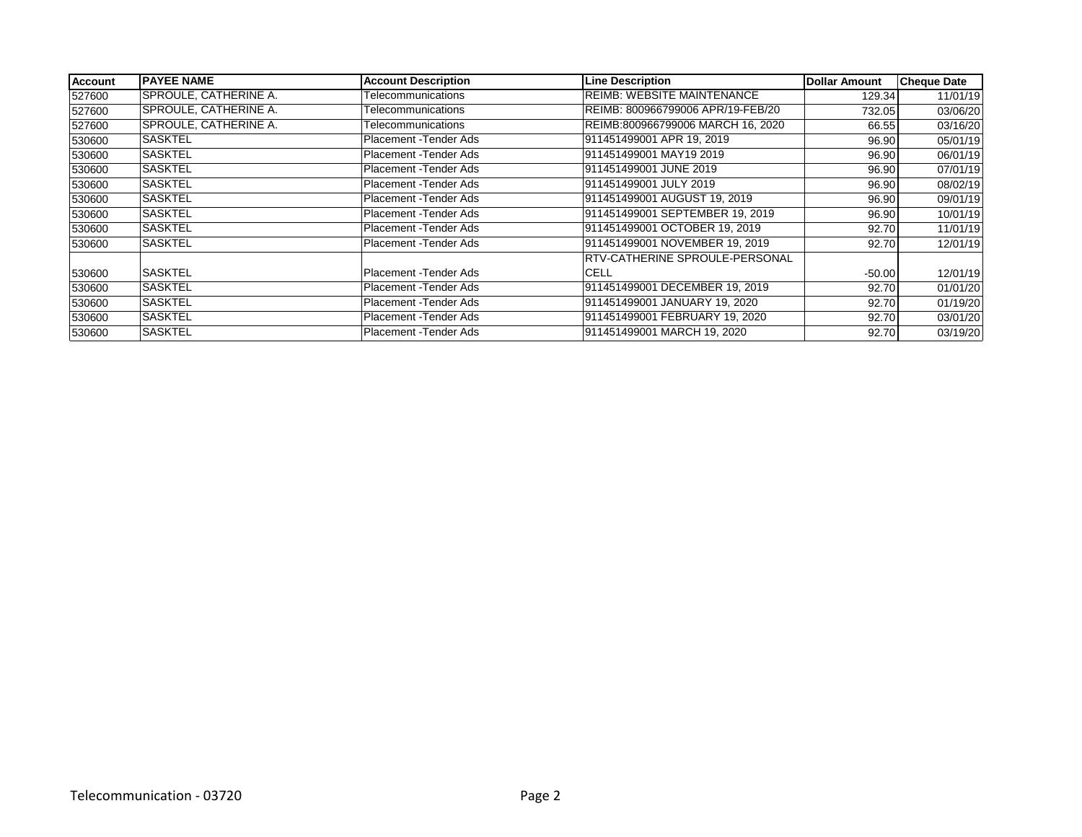| Account | <b>PAYEE NAME</b>            | <b>Account Description</b> | <b>Line Description</b>               | <b>Dollar Amount</b> | <b>Cheque Date</b> |
|---------|------------------------------|----------------------------|---------------------------------------|----------------------|--------------------|
| 527600  | <b>SPROULE, CATHERINE A.</b> | Telecommunications         | <b>REIMB: WEBSITE MAINTENANCE</b>     | 129.34               | 11/01/19           |
| 527600  | SPROULE, CATHERINE A.        | Telecommunications         | REIMB: 800966799006 APR/19-FEB/20     | 732.05               | 03/06/20           |
| 527600  | SPROULE, CATHERINE A.        | Telecommunications         | REIMB:800966799006 MARCH 16, 2020     | 66.55                | 03/16/20           |
| 530600  | ISASKTEL                     | Placement - Tender Ads     | 911451499001 APR 19, 2019             | 96.90                | 05/01/19           |
| 530600  | <b>SASKTEL</b>               | Placement - Tender Ads     | 911451499001 MAY19 2019               | 96.90                | 06/01/19           |
| 530600  | <b>SASKTEL</b>               | Placement - Tender Ads     | 911451499001 JUNE 2019                | 96.90                | 07/01/19           |
| 530600  | <b>SASKTEL</b>               | Placement - Tender Ads     | 911451499001 JULY 2019                | 96.90                | 08/02/19           |
| 530600  | <b>SASKTEL</b>               | Placement - Tender Ads     | 911451499001 AUGUST 19, 2019          | 96.90                | 09/01/19           |
| 530600  | <b>SASKTEL</b>               | Placement - Tender Ads     | 911451499001 SEPTEMBER 19, 2019       | 96.90                | 10/01/19           |
| 530600  | <b>SASKTEL</b>               | Placement - Tender Ads     | 911451499001 OCTOBER 19, 2019         | 92.70                | 11/01/19           |
| 530600  | <b>SASKTEL</b>               | Placement - Tender Ads     | 911451499001 NOVEMBER 19, 2019        | 92.70                | 12/01/19           |
|         |                              |                            | <b>RTV-CATHERINE SPROULE-PERSONAL</b> |                      |                    |
| 530600  | <b>SASKTEL</b>               | Placement -Tender Ads      | <b>CELL</b>                           | $-50.00$             | 12/01/19           |
| 530600  | <b>SASKTEL</b>               | Placement - Tender Ads     | 911451499001 DECEMBER 19, 2019        | 92.70                | 01/01/20           |
| 530600  | <b>SASKTEL</b>               | Placement - Tender Ads     | 911451499001 JANUARY 19, 2020         | 92.70                | 01/19/20           |
| 530600  | <b>SASKTEL</b>               | Placement - Tender Ads     | 911451499001 FEBRUARY 19, 2020        | 92.70                | 03/01/20           |
| 530600  | <b>SASKTEL</b>               | Placement - Tender Ads     | 911451499001 MARCH 19, 2020           | 92.70                | 03/19/20           |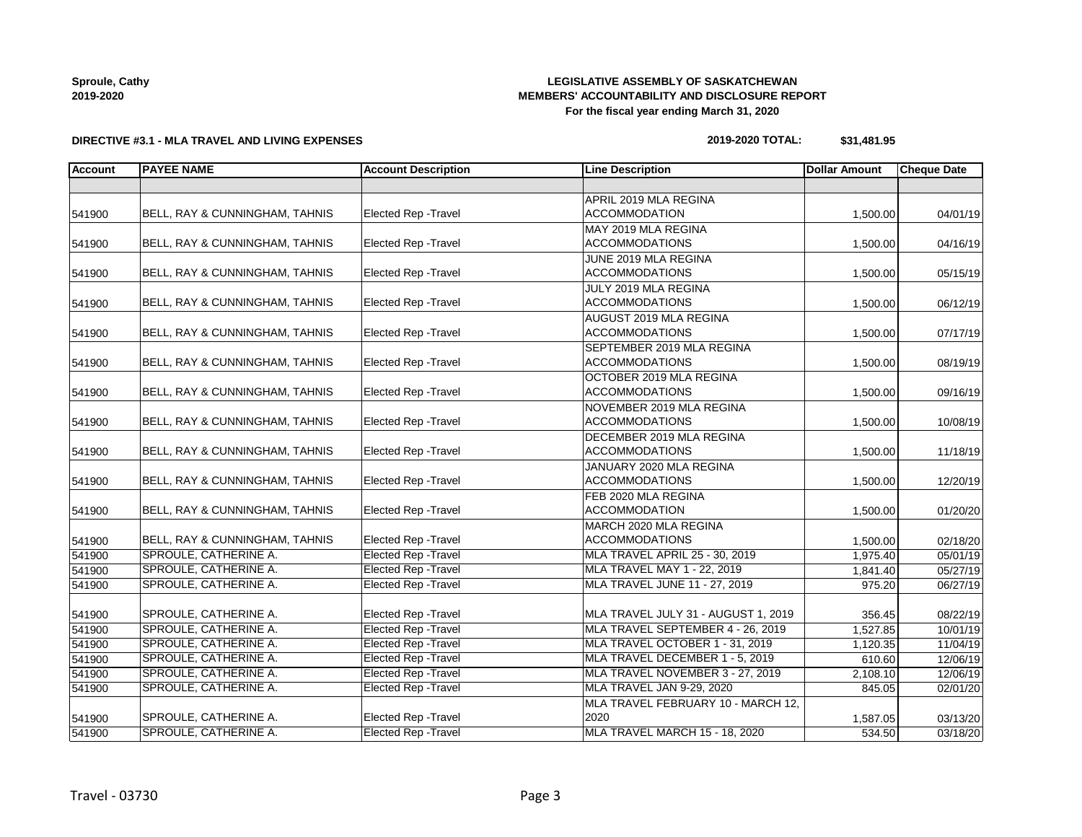## **LEGISLATIVE ASSEMBLY OF SASKATCHEWAN MEMBERS' ACCOUNTABILITY AND DISCLOSURE REPORT For the fiscal year ending March 31, 2020**

**DIRECTIVE #3.1 - MLA TRAVEL AND LIVING EXPENSES**

## **2019-2020 TOTAL: \$31,481.95**

| <b>Account</b> | <b>PAYEE NAME</b>                         | <b>Account Description</b>  | <b>Line Description</b>              | <b>Dollar Amount</b> | <b>Cheque Date</b> |
|----------------|-------------------------------------------|-----------------------------|--------------------------------------|----------------------|--------------------|
|                |                                           |                             |                                      |                      |                    |
|                |                                           |                             | APRIL 2019 MLA REGINA                |                      |                    |
| 541900         | BELL, RAY & CUNNINGHAM, TAHNIS            | Elected Rep - Travel        | <b>ACCOMMODATION</b>                 | 1,500.00             | 04/01/19           |
|                |                                           |                             | MAY 2019 MLA REGINA                  |                      |                    |
| 541900         | BELL, RAY & CUNNINGHAM, TAHNIS            | <b>Elected Rep - Travel</b> | <b>ACCOMMODATIONS</b>                | 1,500.00             | 04/16/19           |
|                |                                           |                             | JUNE 2019 MLA REGINA                 |                      |                    |
| 541900         | <b>BELL, RAY &amp; CUNNINGHAM, TAHNIS</b> | <b>Elected Rep - Travel</b> | <b>ACCOMMODATIONS</b>                | 1,500.00             | 05/15/19           |
|                |                                           |                             | JULY 2019 MLA REGINA                 |                      |                    |
| 541900         | BELL, RAY & CUNNINGHAM, TAHNIS            | Elected Rep - Travel        | <b>ACCOMMODATIONS</b>                | 1,500.00             | 06/12/19           |
|                |                                           |                             | AUGUST 2019 MLA REGINA               |                      |                    |
| 541900         | BELL, RAY & CUNNINGHAM, TAHNIS            | Elected Rep - Travel        | <b>ACCOMMODATIONS</b>                | 1,500.00             | 07/17/19           |
|                |                                           |                             | SEPTEMBER 2019 MLA REGINA            |                      |                    |
| 541900         | BELL, RAY & CUNNINGHAM, TAHNIS            | <b>Elected Rep - Travel</b> | <b>ACCOMMODATIONS</b>                | 1,500.00             | 08/19/19           |
|                |                                           |                             | OCTOBER 2019 MLA REGINA              |                      |                    |
| 541900         | BELL, RAY & CUNNINGHAM, TAHNIS            | Elected Rep - Travel        | <b>ACCOMMODATIONS</b>                | 1,500.00             | 09/16/19           |
|                |                                           |                             | NOVEMBER 2019 MLA REGINA             |                      |                    |
| 541900         | BELL, RAY & CUNNINGHAM, TAHNIS            | Elected Rep - Travel        | <b>ACCOMMODATIONS</b>                | 1,500.00             | 10/08/19           |
|                |                                           |                             | DECEMBER 2019 MLA REGINA             |                      |                    |
| 541900         | BELL, RAY & CUNNINGHAM, TAHNIS            | <b>Elected Rep - Travel</b> | <b>ACCOMMODATIONS</b>                | 1,500.00             | 11/18/19           |
|                |                                           |                             | JANUARY 2020 MLA REGINA              |                      |                    |
| 541900         | BELL, RAY & CUNNINGHAM, TAHNIS            | <b>Elected Rep - Travel</b> | <b>ACCOMMODATIONS</b>                | 1,500.00             | 12/20/19           |
|                |                                           |                             | FEB 2020 MLA REGINA                  |                      |                    |
| 541900         | BELL, RAY & CUNNINGHAM, TAHNIS            | Elected Rep - Travel        | <b>ACCOMMODATION</b>                 | 1,500.00             | 01/20/20           |
|                |                                           |                             | MARCH 2020 MLA REGINA                |                      |                    |
| 541900         | <b>BELL, RAY &amp; CUNNINGHAM, TAHNIS</b> | <b>Elected Rep - Travel</b> | <b>ACCOMMODATIONS</b>                | 1,500.00             | 02/18/20           |
| 541900         | <b>SPROULE, CATHERINE A.</b>              | <b>Elected Rep - Travel</b> | MLA TRAVEL APRIL 25 - 30, 2019       | 1,975.40             | 05/01/19           |
| 541900         | SPROULE, CATHERINE A.                     | <b>Elected Rep - Travel</b> | MLA TRAVEL MAY 1 - 22, 2019          | 1,841.40             | 05/27/19           |
| 541900         | SPROULE, CATHERINE A.                     | <b>Elected Rep - Travel</b> | <b>MLA TRAVEL JUNE 11 - 27, 2019</b> | 975.20               | 06/27/19           |
|                |                                           |                             |                                      |                      |                    |
| 541900         | SPROULE, CATHERINE A.                     | <b>Elected Rep - Travel</b> | MLA TRAVEL JULY 31 - AUGUST 1, 2019  | 356.45               | 08/22/19           |
| 541900         | SPROULE, CATHERINE A.                     | <b>Elected Rep - Travel</b> | MLA TRAVEL SEPTEMBER 4 - 26, 2019    | 1,527.85             | 10/01/19           |
| 541900         | SPROULE, CATHERINE A.                     | <b>Elected Rep - Travel</b> | MLA TRAVEL OCTOBER 1 - 31, 2019      | 1,120.35             | 11/04/19           |
| 541900         | SPROULE, CATHERINE A.                     | <b>Elected Rep - Travel</b> | MLA TRAVEL DECEMBER 1 - 5, 2019      | 610.60               | 12/06/19           |
| 541900         | SPROULE, CATHERINE A.                     | <b>Elected Rep - Travel</b> | MLA TRAVEL NOVEMBER 3 - 27, 2019     | 2,108.10             | 12/06/19           |
| 541900         | SPROULE, CATHERINE A.                     | <b>Elected Rep - Travel</b> | MLA TRAVEL JAN 9-29, 2020            | 845.05               | 02/01/20           |
|                |                                           |                             | MLA TRAVEL FEBRUARY 10 - MARCH 12,   |                      |                    |
| 541900         | SPROULE, CATHERINE A.                     | Elected Rep - Travel        | 2020                                 | 1,587.05             | 03/13/20           |
| 541900         | SPROULE, CATHERINE A.                     | <b>Elected Rep - Travel</b> | MLA TRAVEL MARCH 15 - 18, 2020       | 534.50               | 03/18/20           |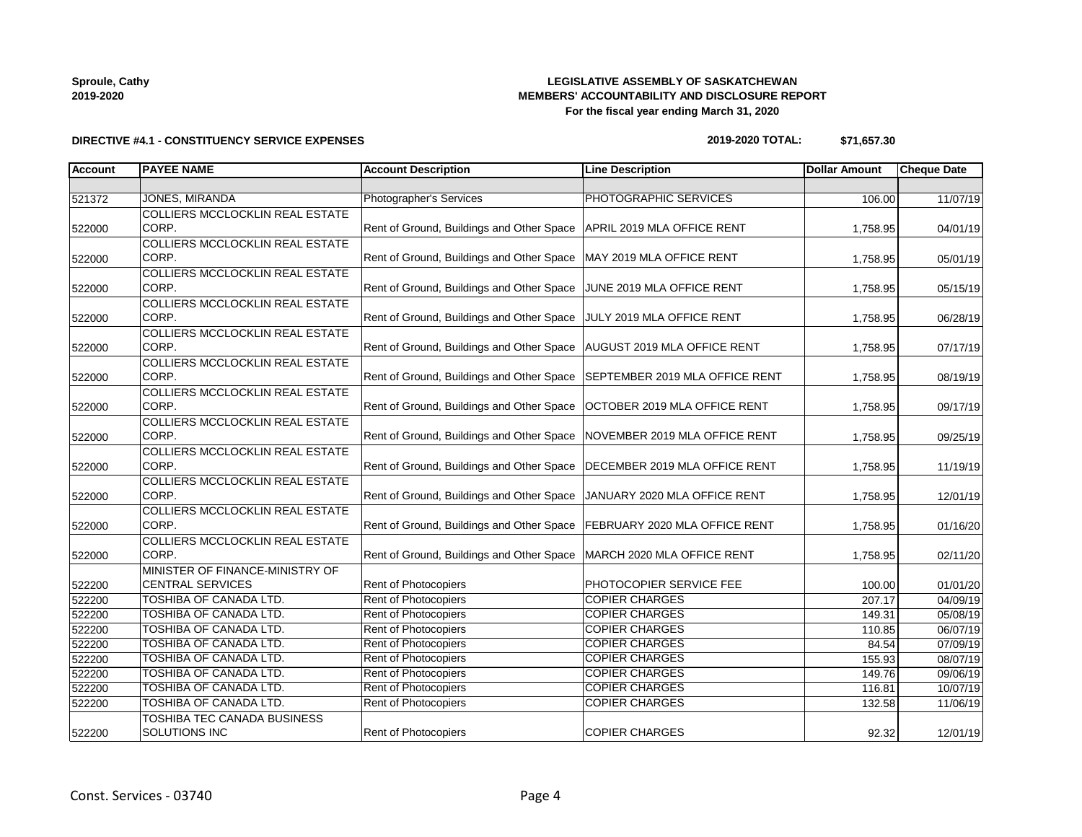## **LEGISLATIVE ASSEMBLY OF SASKATCHEWAN MEMBERS' ACCOUNTABILITY AND DISCLOSURE REPORT For the fiscal year ending March 31, 2020**

# **DIRECTIVE #4.1 - CONSTITUENCY SERVICE EXPENSES**

| 2019-2020 TOTAL: | \$71,657.30 |
|------------------|-------------|
|------------------|-------------|

| Account | <b>PAYEE NAME</b>                      | <b>Account Description</b>                                                | <b>Line Description</b>      | <b>Dollar Amount</b> | <b>Cheque Date</b> |
|---------|----------------------------------------|---------------------------------------------------------------------------|------------------------------|----------------------|--------------------|
|         |                                        |                                                                           |                              |                      |                    |
| 521372  | <b>JONES, MIRANDA</b>                  | Photographer's Services                                                   | PHOTOGRAPHIC SERVICES        | 106.00               | 11/07/19           |
|         | <b>COLLIERS MCCLOCKLIN REAL ESTATE</b> |                                                                           |                              |                      |                    |
| 522000  | CORP.                                  | Rent of Ground, Buildings and Other Space   APRIL 2019 MLA OFFICE RENT    |                              | 1,758.95             | 04/01/19           |
|         | COLLIERS MCCLOCKLIN REAL ESTATE        |                                                                           |                              |                      |                    |
| 522000  | CORP.                                  | Rent of Ground, Buildings and Other Space   MAY 2019 MLA OFFICE RENT      |                              | 1,758.95             | 05/01/19           |
|         | <b>COLLIERS MCCLOCKLIN REAL ESTATE</b> |                                                                           |                              |                      |                    |
| 522000  | CORP.                                  | Rent of Ground, Buildings and Other Space JUNE 2019 MLA OFFICE RENT       |                              | 1,758.95             | 05/15/19           |
|         | COLLIERS MCCLOCKLIN REAL ESTATE        |                                                                           |                              |                      |                    |
| 522000  | CORP.                                  | Rent of Ground, Buildings and Other Space JULY 2019 MLA OFFICE RENT       |                              | 1,758.95             | 06/28/19           |
|         | <b>COLLIERS MCCLOCKLIN REAL ESTATE</b> |                                                                           |                              |                      |                    |
| 522000  | CORP.                                  | Rent of Ground, Buildings and Other Space   AUGUST 2019 MLA OFFICE RENT   |                              | 1,758.95             | 07/17/19           |
|         | COLLIERS MCCLOCKLIN REAL ESTATE        |                                                                           |                              |                      |                    |
| 522000  | CORP.                                  | Rent of Ground, Buildings and Other Space SEPTEMBER 2019 MLA OFFICE RENT  |                              | 1,758.95             | 08/19/19           |
|         | COLLIERS MCCLOCKLIN REAL ESTATE        |                                                                           |                              |                      |                    |
| 522000  | CORP.                                  | Rent of Ground, Buildings and Other Space                                 | OCTOBER 2019 MLA OFFICE RENT | 1,758.95             | 09/17/19           |
|         | <b>COLLIERS MCCLOCKLIN REAL ESTATE</b> |                                                                           |                              |                      |                    |
| 522000  | CORP.                                  | Rent of Ground, Buildings and Other Space   NOVEMBER 2019 MLA OFFICE RENT |                              | 1,758.95             | 09/25/19           |
|         | <b>COLLIERS MCCLOCKLIN REAL ESTATE</b> |                                                                           |                              |                      |                    |
| 522000  | CORP.                                  | Rent of Ground, Buildings and Other Space   DECEMBER 2019 MLA OFFICE RENT |                              | 1,758.95             | 11/19/19           |
|         | <b>COLLIERS MCCLOCKLIN REAL ESTATE</b> |                                                                           |                              |                      |                    |
| 522000  | CORP.                                  | Rent of Ground, Buildings and Other Space   JANUARY 2020 MLA OFFICE RENT  |                              | 1,758.95             | 12/01/19           |
|         | <b>COLLIERS MCCLOCKLIN REAL ESTATE</b> |                                                                           |                              |                      |                    |
| 522000  | CORP.                                  | Rent of Ground, Buildings and Other Space   FEBRUARY 2020 MLA OFFICE RENT |                              | 1,758.95             | 01/16/20           |
|         | <b>COLLIERS MCCLOCKLIN REAL ESTATE</b> |                                                                           |                              |                      |                    |
| 522000  | CORP.                                  | Rent of Ground, Buildings and Other Space   MARCH 2020 MLA OFFICE RENT    |                              | 1,758.95             | 02/11/20           |
|         | MINISTER OF FINANCE-MINISTRY OF        |                                                                           |                              |                      |                    |
| 522200  | <b>CENTRAL SERVICES</b>                | Rent of Photocopiers                                                      | PHOTOCOPIER SERVICE FEE      | 100.00               | 01/01/20           |
| 522200  | TOSHIBA OF CANADA LTD.                 | <b>Rent of Photocopiers</b>                                               | <b>COPIER CHARGES</b>        | 207.17               | 04/09/19           |
| 522200  | TOSHIBA OF CANADA LTD.                 | Rent of Photocopiers                                                      | <b>COPIER CHARGES</b>        | 149.31               | 05/08/19           |
| 522200  | TOSHIBA OF CANADA LTD.                 | Rent of Photocopiers                                                      | <b>COPIER CHARGES</b>        | 110.85               | 06/07/19           |
| 522200  | TOSHIBA OF CANADA LTD.                 | Rent of Photocopiers                                                      | <b>COPIER CHARGES</b>        | 84.54                | 07/09/19           |
| 522200  | <b>TOSHIBA OF CANADA LTD.</b>          | <b>Rent of Photocopiers</b>                                               | <b>COPIER CHARGES</b>        | 155.93               | 08/07/19           |
| 522200  | TOSHIBA OF CANADA LTD.                 | Rent of Photocopiers                                                      | <b>COPIER CHARGES</b>        | 149.76               | 09/06/19           |
| 522200  | TOSHIBA OF CANADA LTD.                 | Rent of Photocopiers                                                      | <b>COPIER CHARGES</b>        | 116.81               | 10/07/19           |
| 522200  | TOSHIBA OF CANADA LTD.                 | Rent of Photocopiers                                                      | <b>COPIER CHARGES</b>        | 132.58               | 11/06/19           |
|         | TOSHIBA TEC CANADA BUSINESS            |                                                                           |                              |                      |                    |
| 522200  | <b>SOLUTIONS INC</b>                   | <b>Rent of Photocopiers</b>                                               | <b>COPIER CHARGES</b>        | 92.32                | 12/01/19           |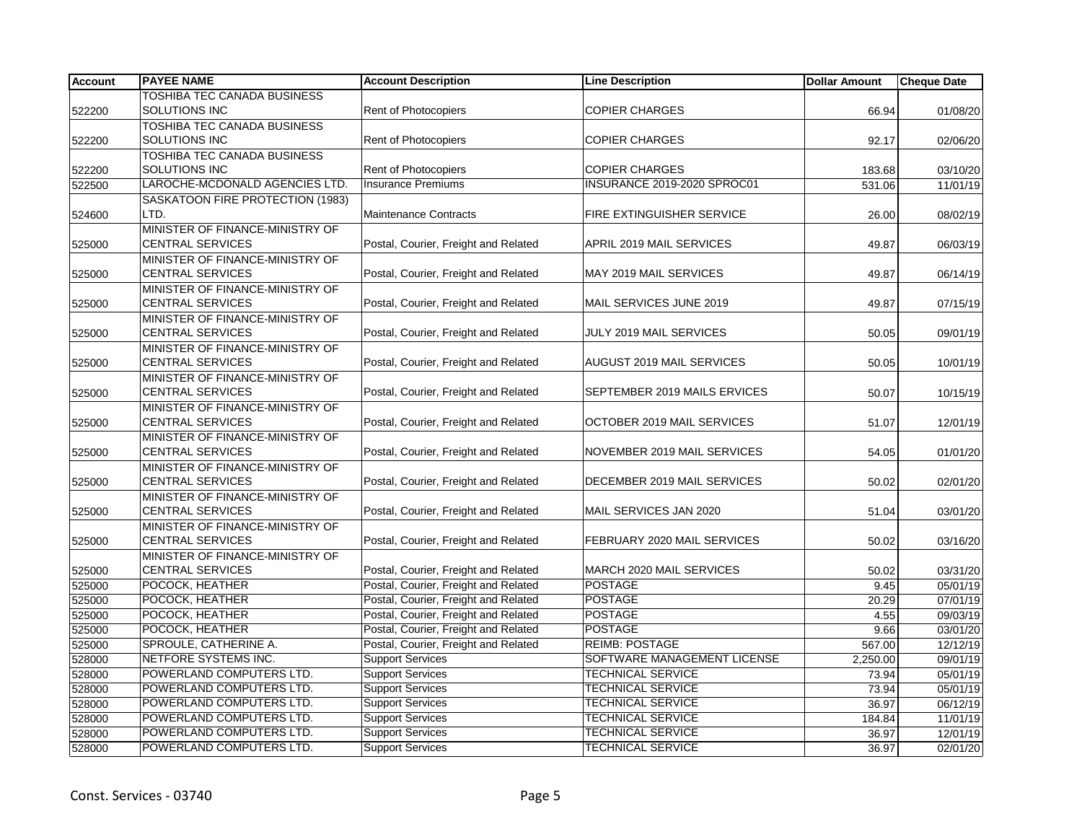| <b>Account</b> | <b>PAYEE NAME</b>                                          | <b>Account Description</b>                         | <b>Line Description</b>          | <b>Dollar Amount</b> | Cheque Date |
|----------------|------------------------------------------------------------|----------------------------------------------------|----------------------------------|----------------------|-------------|
|                | TOSHIBA TEC CANADA BUSINESS                                |                                                    |                                  |                      |             |
| 522200         | SOLUTIONS INC                                              | Rent of Photocopiers                               | <b>COPIER CHARGES</b>            | 66.94                | 01/08/20    |
|                | <b>TOSHIBA TEC CANADA BUSINESS</b>                         |                                                    |                                  |                      |             |
| 522200         | SOLUTIONS INC                                              | Rent of Photocopiers                               | <b>COPIER CHARGES</b>            | 92.17                | 02/06/20    |
|                | <b>TOSHIBA TEC CANADA BUSINESS</b>                         |                                                    |                                  |                      |             |
| 522200         | SOLUTIONS INC                                              | <b>Rent of Photocopiers</b>                        | <b>COPIER CHARGES</b>            | 183.68               | 03/10/20    |
| 522500         | LAROCHE-MCDONALD AGENCIES LTD.                             | <b>Insurance Premiums</b>                          | INSURANCE 2019-2020 SPROC01      | 531.06               | 11/01/19    |
|                | SASKATOON FIRE PROTECTION (1983)                           |                                                    |                                  |                      |             |
| 524600         | LTD.                                                       | <b>Maintenance Contracts</b>                       | FIRE EXTINGUISHER SERVICE        | 26.00                | 08/02/19    |
|                | MINISTER OF FINANCE-MINISTRY OF                            |                                                    |                                  |                      |             |
| 525000         | <b>CENTRAL SERVICES</b>                                    | Postal, Courier, Freight and Related               | APRIL 2019 MAIL SERVICES         | 49.87                | 06/03/19    |
|                | MINISTER OF FINANCE-MINISTRY OF                            |                                                    |                                  |                      |             |
| 525000         | <b>CENTRAL SERVICES</b>                                    | Postal, Courier, Freight and Related               | MAY 2019 MAIL SERVICES           | 49.87                | 06/14/19    |
|                | MINISTER OF FINANCE-MINISTRY OF                            |                                                    |                                  |                      |             |
| 525000         | <b>CENTRAL SERVICES</b>                                    | Postal, Courier, Freight and Related               | MAIL SERVICES JUNE 2019          | 49.87                | 07/15/19    |
|                | MINISTER OF FINANCE-MINISTRY OF                            |                                                    |                                  |                      |             |
| 525000         | <b>CENTRAL SERVICES</b>                                    | Postal, Courier, Freight and Related               | JULY 2019 MAIL SERVICES          | 50.05                | 09/01/19    |
|                | MINISTER OF FINANCE-MINISTRY OF<br><b>CENTRAL SERVICES</b> | Postal, Courier, Freight and Related               | <b>AUGUST 2019 MAIL SERVICES</b> | 50.05                |             |
| 525000         | MINISTER OF FINANCE-MINISTRY OF                            |                                                    |                                  |                      | 10/01/19    |
| 525000         | <b>CENTRAL SERVICES</b>                                    | Postal, Courier, Freight and Related               | SEPTEMBER 2019 MAILS ERVICES     | 50.07                | 10/15/19    |
|                | MINISTER OF FINANCE-MINISTRY OF                            |                                                    |                                  |                      |             |
| 525000         | <b>CENTRAL SERVICES</b>                                    | Postal, Courier, Freight and Related               | OCTOBER 2019 MAIL SERVICES       | 51.07                | 12/01/19    |
|                | MINISTER OF FINANCE-MINISTRY OF                            |                                                    |                                  |                      |             |
| 525000         | <b>CENTRAL SERVICES</b>                                    | Postal, Courier, Freight and Related               | NOVEMBER 2019 MAIL SERVICES      | 54.05                | 01/01/20    |
|                | MINISTER OF FINANCE-MINISTRY OF                            |                                                    |                                  |                      |             |
| 525000         | <b>CENTRAL SERVICES</b>                                    | Postal, Courier, Freight and Related               | DECEMBER 2019 MAIL SERVICES      | 50.02                | 02/01/20    |
|                | MINISTER OF FINANCE-MINISTRY OF                            |                                                    |                                  |                      |             |
| 525000         | <b>CENTRAL SERVICES</b>                                    | Postal, Courier, Freight and Related               | MAIL SERVICES JAN 2020           | 51.04                | 03/01/20    |
|                | MINISTER OF FINANCE-MINISTRY OF                            |                                                    |                                  |                      |             |
| 525000         | <b>CENTRAL SERVICES</b>                                    | Postal, Courier, Freight and Related               | FEBRUARY 2020 MAIL SERVICES      | 50.02                | 03/16/20    |
|                | MINISTER OF FINANCE-MINISTRY OF                            |                                                    |                                  |                      |             |
| 525000         | <b>CENTRAL SERVICES</b>                                    | Postal, Courier, Freight and Related               | MARCH 2020 MAIL SERVICES         | 50.02                | 03/31/20    |
| 525000         | POCOCK, HEATHER                                            | Postal, Courier, Freight and Related               | <b>POSTAGE</b>                   | 9.45                 | 05/01/19    |
| 525000         | POCOCK, HEATHER                                            | Postal, Courier, Freight and Related               | <b>POSTAGE</b>                   | 20.29                | 07/01/19    |
| 525000         | POCOCK, HEATHER                                            | Postal, Courier, Freight and Related               | <b>POSTAGE</b>                   | 4.55                 | 09/03/19    |
| 525000         | POCOCK, HEATHER                                            | Postal, Courier, Freight and Related               | <b>POSTAGE</b>                   | 9.66                 | 03/01/20    |
| 525000         | SPROULE, CATHERINE A.                                      | Postal, Courier, Freight and Related               | <b>REIMB: POSTAGE</b>            | 567.00               | 12/12/19    |
| 528000         | NETFORE SYSTEMS INC.                                       | <b>Support Services</b>                            | SOFTWARE MANAGEMENT LICENSE      | 2,250.00             | 09/01/19    |
| 528000         | POWERLAND COMPUTERS LTD.                                   | <b>Support Services</b>                            | <b>TECHNICAL SERVICE</b>         | 73.94                | 05/01/19    |
| 528000         | POWERLAND COMPUTERS LTD.                                   | <b>Support Services</b>                            | <b>TECHNICAL SERVICE</b>         | 73.94                | 05/01/19    |
| 528000         | POWERLAND COMPUTERS LTD.                                   | <b>Support Services</b>                            | <b>TECHNICAL SERVICE</b>         | 36.97                | 06/12/19    |
| 528000         | POWERLAND COMPUTERS LTD.                                   | <b>Support Services</b>                            | <b>TECHNICAL SERVICE</b>         | 184.84               | 11/01/19    |
| 528000         | POWERLAND COMPUTERS LTD.<br>POWERLAND COMPUTERS LTD.       | <b>Support Services</b><br><b>Support Services</b> | <b>TECHNICAL SERVICE</b>         | 36.97                | 12/01/19    |
| 528000         |                                                            |                                                    | <b>TECHNICAL SERVICE</b>         | 36.97                | 02/01/20    |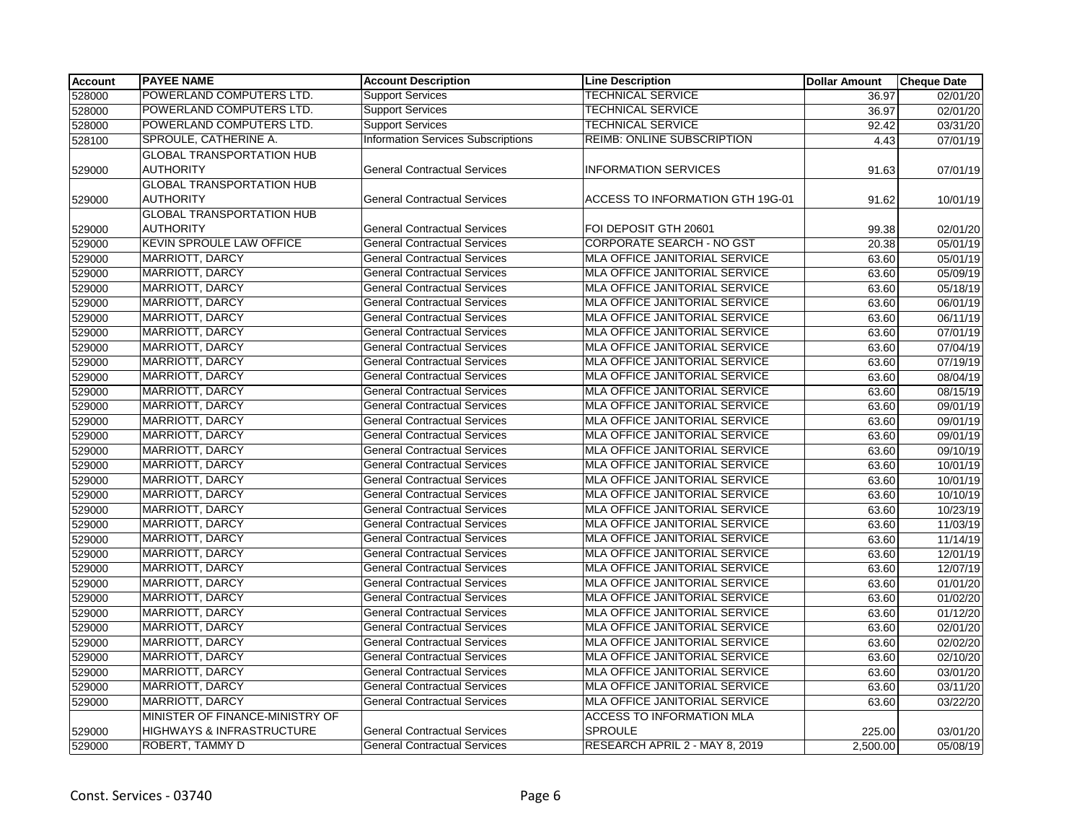| <b>Account</b> | <b>PAYEE NAME</b>                    | <b>Account Description</b>                | <b>Line Description</b>              | <b>Dollar Amount</b> | <b>Cheque Date</b> |
|----------------|--------------------------------------|-------------------------------------------|--------------------------------------|----------------------|--------------------|
| 528000         | POWERLAND COMPUTERS LTD.             | <b>Support Services</b>                   | <b>TECHNICAL SERVICE</b>             | 36.97                | 02/01/20           |
| 528000         | POWERLAND COMPUTERS LTD.             | <b>Support Services</b>                   | <b>TECHNICAL SERVICE</b>             | 36.97                | 02/01/20           |
| 528000         | POWERLAND COMPUTERS LTD.             | <b>Support Services</b>                   | <b>TECHNICAL SERVICE</b>             | 92.42                | 03/31/20           |
| 528100         | SPROULE, CATHERINE A.                | <b>Information Services Subscriptions</b> | REIMB: ONLINE SUBSCRIPTION           | 4.43                 | 07/01/19           |
|                | <b>GLOBAL TRANSPORTATION HUB</b>     |                                           |                                      |                      |                    |
| 529000         | <b>AUTHORITY</b>                     | <b>General Contractual Services</b>       | <b>INFORMATION SERVICES</b>          | 91.63                | 07/01/19           |
|                | <b>GLOBAL TRANSPORTATION HUB</b>     |                                           |                                      |                      |                    |
| 529000         | <b>AUTHORITY</b>                     | <b>General Contractual Services</b>       | ACCESS TO INFORMATION GTH 19G-01     | 91.62                | 10/01/19           |
|                | <b>GLOBAL TRANSPORTATION HUB</b>     |                                           |                                      |                      |                    |
| 529000         | <b>AUTHORITY</b>                     | <b>General Contractual Services</b>       | FOI DEPOSIT GTH 20601                | 99.38                | 02/01/20           |
| 529000         | <b>KEVIN SPROULE LAW OFFICE</b>      | <b>General Contractual Services</b>       | <b>CORPORATE SEARCH - NO GST</b>     | 20.38                | 05/01/19           |
| 529000         | MARRIOTT, DARCY                      | General Contractual Services              | MLA OFFICE JANITORIAL SERVICE        | 63.60                | 05/01/19           |
| 529000         | MARRIOTT, DARCY                      | <b>General Contractual Services</b>       | MLA OFFICE JANITORIAL SERVICE        | 63.60                | 05/09/19           |
| 529000         | MARRIOTT, DARCY                      | <b>General Contractual Services</b>       | MLA OFFICE JANITORIAL SERVICE        | 63.60                | 05/18/19           |
| 529000         | MARRIOTT, DARCY                      | <b>General Contractual Services</b>       | MLA OFFICE JANITORIAL SERVICE        | 63.60                | 06/01/19           |
| 529000         | MARRIOTT, DARCY                      | General Contractual Services              | MLA OFFICE JANITORIAL SERVICE        | 63.60                | 06/11/19           |
| 529000         | MARRIOTT, DARCY                      | <b>General Contractual Services</b>       | MLA OFFICE JANITORIAL SERVICE        | 63.60                | 07/01/19           |
| 529000         | MARRIOTT, DARCY                      | <b>General Contractual Services</b>       | <b>MLA OFFICE JANITORIAL SERVICE</b> | 63.60                | 07/04/19           |
| 529000         | <b>MARRIOTT, DARCY</b>               | <b>General Contractual Services</b>       | MLA OFFICE JANITORIAL SERVICE        | 63.60                | 07/19/19           |
| 529000         | MARRIOTT, DARCY                      | General Contractual Services              | MLA OFFICE JANITORIAL SERVICE        | 63.60                | 08/04/19           |
| 529000         | MARRIOTT, DARCY                      | <b>General Contractual Services</b>       | MLA OFFICE JANITORIAL SERVICE        | 63.60                | 08/15/19           |
| 529000         | <b>MARRIOTT, DARCY</b>               | <b>General Contractual Services</b>       | MLA OFFICE JANITORIAL SERVICE        | 63.60                | 09/01/19           |
| 529000         | MARRIOTT, DARCY                      | <b>General Contractual Services</b>       | MLA OFFICE JANITORIAL SERVICE        | 63.60                | 09/01/19           |
| 529000         | MARRIOTT, DARCY                      | <b>General Contractual Services</b>       | MLA OFFICE JANITORIAL SERVICE        | 63.60                | 09/01/19           |
| 529000         | <b>MARRIOTT, DARCY</b>               | <b>General Contractual Services</b>       | MLA OFFICE JANITORIAL SERVICE        | 63.60                | 09/10/19           |
| 529000         | MARRIOTT, DARCY                      | <b>General Contractual Services</b>       | MLA OFFICE JANITORIAL SERVICE        | 63.60                | 10/01/19           |
| 529000         | <b>MARRIOTT, DARCY</b>               | <b>General Contractual Services</b>       | MLA OFFICE JANITORIAL SERVICE        | 63.60                | 10/01/19           |
| 529000         | MARRIOTT, DARCY                      | <b>General Contractual Services</b>       | MLA OFFICE JANITORIAL SERVICE        | 63.60                | 10/10/19           |
| 529000         | <b>MARRIOTT, DARCY</b>               | <b>General Contractual Services</b>       | MLA OFFICE JANITORIAL SERVICE        | 63.60                | 10/23/19           |
| 529000         | <b>MARRIOTT, DARCY</b>               | <b>General Contractual Services</b>       | MLA OFFICE JANITORIAL SERVICE        | 63.60                | 11/03/19           |
| 529000         | MARRIOTT, DARCY                      | <b>General Contractual Services</b>       | MLA OFFICE JANITORIAL SERVICE        | 63.60                | 11/14/19           |
| 529000         | MARRIOTT, DARCY                      | <b>General Contractual Services</b>       | MLA OFFICE JANITORIAL SERVICE        | 63.60                | 12/01/19           |
| 529000         | <b>MARRIOTT, DARCY</b>               | <b>General Contractual Services</b>       | <b>MLA OFFICE JANITORIAL SERVICE</b> | 63.60                | 12/07/19           |
| 529000         | MARRIOTT, DARCY                      | <b>General Contractual Services</b>       | MLA OFFICE JANITORIAL SERVICE        | 63.60                | 01/01/20           |
| 529000         | MARRIOTT, DARCY                      | <b>General Contractual Services</b>       | MLA OFFICE JANITORIAL SERVICE        | 63.60                | 01/02/20           |
| 529000         | MARRIOTT, DARCY                      | <b>General Contractual Services</b>       | MLA OFFICE JANITORIAL SERVICE        | 63.60                | 01/12/20           |
| 529000         | MARRIOTT, DARCY                      | <b>General Contractual Services</b>       | MLA OFFICE JANITORIAL SERVICE        | 63.60                | 02/01/20           |
| 529000         | <b>MARRIOTT, DARCY</b>               | <b>General Contractual Services</b>       | MLA OFFICE JANITORIAL SERVICE        | 63.60                | 02/02/20           |
| 529000         | MARRIOTT, DARCY                      | <b>General Contractual Services</b>       | MLA OFFICE JANITORIAL SERVICE        | 63.60                | 02/10/20           |
| 529000         | MARRIOTT, DARCY                      | <b>General Contractual Services</b>       | MLA OFFICE JANITORIAL SERVICE        | 63.60                | 03/01/20           |
| 529000         | MARRIOTT, DARCY                      | <b>General Contractual Services</b>       | MLA OFFICE JANITORIAL SERVICE        | 63.60                | 03/11/20           |
| 529000         | MARRIOTT, DARCY                      | <b>General Contractual Services</b>       | MLA OFFICE JANITORIAL SERVICE        | 63.60                | 03/22/20           |
|                | MINISTER OF FINANCE-MINISTRY OF      |                                           | <b>ACCESS TO INFORMATION MLA</b>     |                      |                    |
| 529000         | <b>HIGHWAYS &amp; INFRASTRUCTURE</b> | <b>General Contractual Services</b>       | <b>SPROULE</b>                       | 225.00               | 03/01/20           |
| 529000         | ROBERT, TAMMY D                      | <b>General Contractual Services</b>       | RESEARCH APRIL 2 - MAY 8, 2019       | 2,500.00             | 05/08/19           |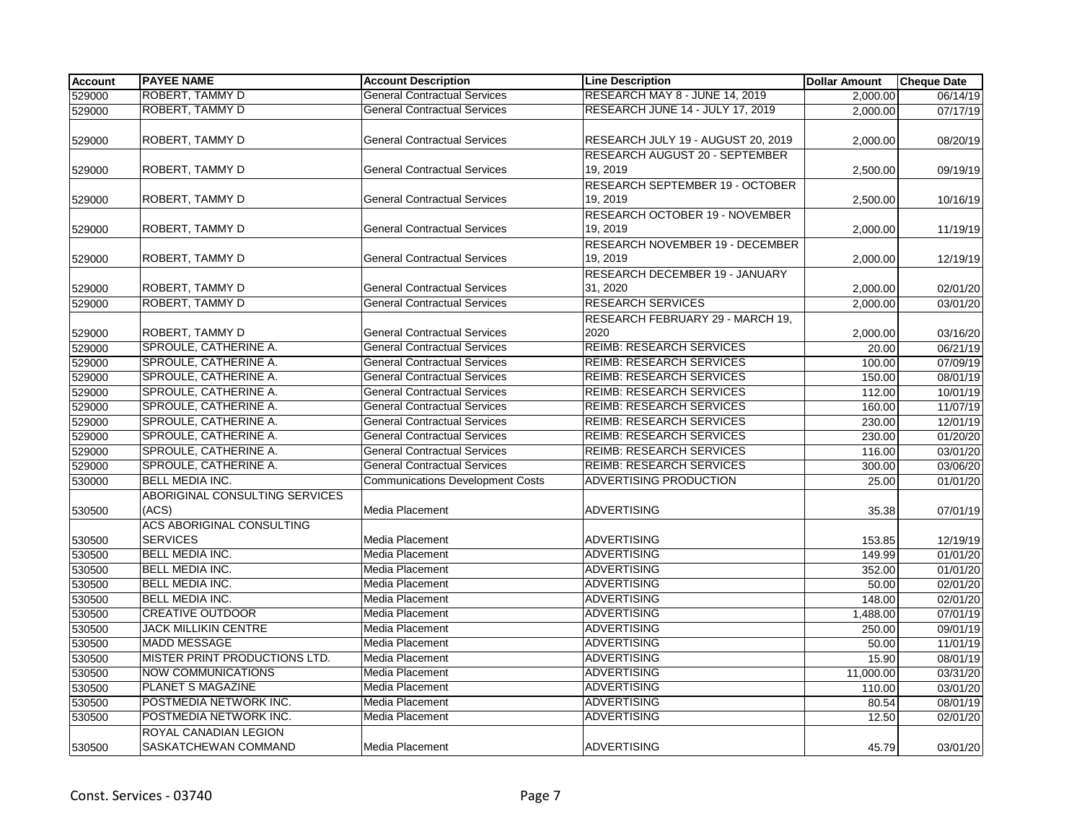| <b>Account</b> | <b>PAYEE NAME</b>                | <b>Account Description</b>              | <b>Line Description</b>               | <b>Dollar Amount</b> | <b>Cheque Date</b> |
|----------------|----------------------------------|-----------------------------------------|---------------------------------------|----------------------|--------------------|
| 529000         | <b>ROBERT, TAMMY D</b>           | <b>General Contractual Services</b>     | RESEARCH MAY 8 - JUNE 14, 2019        | 2.000.00             | 06/14/19           |
| 529000         | ROBERT, TAMMY D                  | <b>General Contractual Services</b>     | RESEARCH JUNE 14 - JULY 17, 2019      | 2,000.00             | 07/17/19           |
|                |                                  |                                         |                                       |                      |                    |
| 529000         | ROBERT, TAMMY D                  | <b>General Contractual Services</b>     | RESEARCH JULY 19 - AUGUST 20, 2019    | 2,000.00             | 08/20/19           |
|                |                                  |                                         | RESEARCH AUGUST 20 - SEPTEMBER        |                      |                    |
| 529000         | ROBERT, TAMMY D                  | <b>General Contractual Services</b>     | 19.2019                               | 2,500.00             | 09/19/19           |
|                |                                  |                                         | RESEARCH SEPTEMBER 19 - OCTOBER       |                      |                    |
| 529000         | ROBERT, TAMMY D                  | <b>General Contractual Services</b>     | 19, 2019                              | 2,500.00             | 10/16/19           |
|                |                                  |                                         | <b>RESEARCH OCTOBER 19 - NOVEMBER</b> |                      |                    |
| 529000         | ROBERT, TAMMY D                  | <b>General Contractual Services</b>     | 19, 2019                              | 2,000.00             | 11/19/19           |
|                |                                  |                                         | RESEARCH NOVEMBER 19 - DECEMBER       |                      |                    |
| 529000         | ROBERT, TAMMY D                  | <b>General Contractual Services</b>     | 19, 2019                              | 2,000.00             | 12/19/19           |
|                |                                  |                                         | RESEARCH DECEMBER 19 - JANUARY        |                      |                    |
| 529000         | ROBERT, TAMMY D                  | <b>General Contractual Services</b>     | 31, 2020                              | 2,000.00             | 02/01/20           |
| 529000         | ROBERT, TAMMY D                  | <b>General Contractual Services</b>     | <b>RESEARCH SERVICES</b>              | 2,000.00             | 03/01/20           |
|                |                                  |                                         | RESEARCH FEBRUARY 29 - MARCH 19,      |                      |                    |
| 529000         | ROBERT, TAMMY D                  | <b>General Contractual Services</b>     | 2020                                  | 2,000.00             | 03/16/20           |
| 529000         | SPROULE, CATHERINE A.            | <b>General Contractual Services</b>     | <b>REIMB: RESEARCH SERVICES</b>       | 20.00                | 06/21/19           |
| 529000         | SPROULE, CATHERINE A.            | <b>General Contractual Services</b>     | <b>REIMB: RESEARCH SERVICES</b>       | 100.00               | 07/09/19           |
| 529000         | SPROULE, CATHERINE A.            | <b>General Contractual Services</b>     | <b>REIMB: RESEARCH SERVICES</b>       | 150.00               | 08/01/19           |
| 529000         | SPROULE, CATHERINE A.            | <b>General Contractual Services</b>     | <b>REIMB: RESEARCH SERVICES</b>       | 112.00               | 10/01/19           |
| 529000         | SPROULE, CATHERINE A.            | <b>General Contractual Services</b>     | <b>REIMB: RESEARCH SERVICES</b>       | 160.00               | 11/07/19           |
| 529000         | SPROULE, CATHERINE A.            | <b>General Contractual Services</b>     | <b>REIMB: RESEARCH SERVICES</b>       | 230.00               | 12/01/19           |
| 529000         | SPROULE, CATHERINE A.            | <b>General Contractual Services</b>     | <b>REIMB: RESEARCH SERVICES</b>       | 230.00               | 01/20/20           |
| 529000         | SPROULE, CATHERINE A.            | <b>General Contractual Services</b>     | <b>REIMB: RESEARCH SERVICES</b>       | 116.00               | 03/01/20           |
| 529000         | SPROULE, CATHERINE A.            | <b>General Contractual Services</b>     | <b>REIMB: RESEARCH SERVICES</b>       | 300.00               | 03/06/20           |
| 530000         | <b>BELL MEDIA INC.</b>           | <b>Communications Development Costs</b> | ADVERTISING PRODUCTION                | 25.00                | 01/01/20           |
|                | ABORIGINAL CONSULTING SERVICES   |                                         |                                       |                      |                    |
| 530500         | (ACS)                            | Media Placement                         | <b>ADVERTISING</b>                    | 35.38                | 07/01/19           |
|                | <b>ACS ABORIGINAL CONSULTING</b> |                                         |                                       |                      |                    |
| 530500         | <b>SERVICES</b>                  | Media Placement                         | <b>ADVERTISING</b>                    | 153.85               | 12/19/19           |
| 530500         | <b>BELL MEDIA INC.</b>           | Media Placement                         | <b>ADVERTISING</b>                    | 149.99               | 01/01/20           |
| 530500         | BELL MEDIA INC.                  | Media Placement                         | <b>ADVERTISING</b>                    | 352.00               | 01/01/20           |
| 530500         | BELL MEDIA INC.                  | Media Placement                         | <b>ADVERTISING</b>                    | 50.00                | 02/01/20           |
| 530500         | BELL MEDIA INC.                  | Media Placement                         | <b>ADVERTISING</b>                    | 148.00               | 02/01/20           |
| 530500         | <b>CREATIVE OUTDOOR</b>          | Media Placement                         | <b>ADVERTISING</b>                    | 1,488.00             | 07/01/19           |
| 530500         | <b>JACK MILLIKIN CENTRE</b>      | Media Placement                         | <b>ADVERTISING</b>                    | 250.00               | 09/01/19           |
| 530500         | <b>MADD MESSAGE</b>              | Media Placement                         | <b>ADVERTISING</b>                    | 50.00                | 11/01/19           |
| 530500         | MISTER PRINT PRODUCTIONS LTD.    | Media Placement                         | <b>ADVERTISING</b>                    | 15.90                | 08/01/19           |
| 530500         | <b>NOW COMMUNICATIONS</b>        | Media Placement                         | <b>ADVERTISING</b>                    | 11,000.00            | 03/31/20           |
| 530500         | PLANET S MAGAZINE                | Media Placement                         | <b>ADVERTISING</b>                    | 110.00               | 03/01/20           |
| 530500         | POSTMEDIA NETWORK INC.           | Media Placement                         | <b>ADVERTISING</b>                    | 80.54                | 08/01/19           |
| 530500         | POSTMEDIA NETWORK INC.           | Media Placement                         | <b>ADVERTISING</b>                    | 12.50                | 02/01/20           |
|                | ROYAL CANADIAN LEGION            |                                         |                                       |                      |                    |
| 530500         | SASKATCHEWAN COMMAND             | Media Placement                         | <b>ADVERTISING</b>                    | 45.79                | 03/01/20           |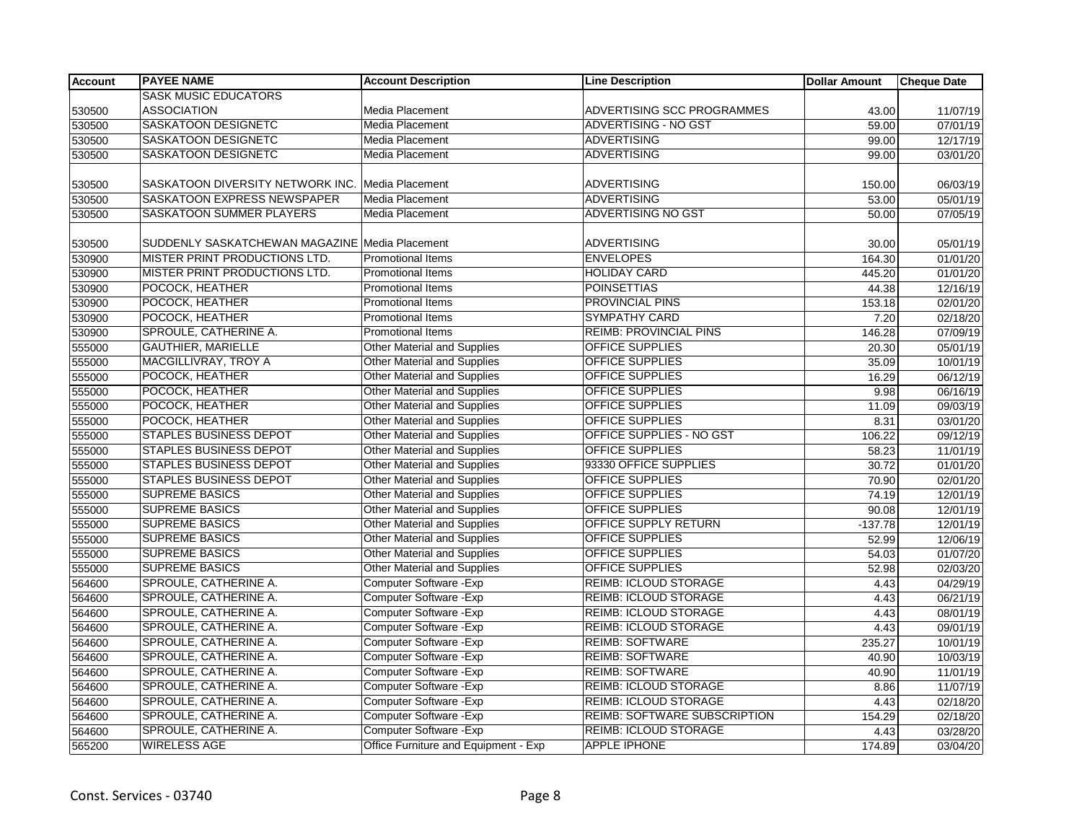| <b>Account</b> | <b>PAYEE NAME</b>                              | <b>Account Description</b>           | <b>Line Description</b>             | <b>Dollar Amount</b> | <b>Cheque Date</b> |
|----------------|------------------------------------------------|--------------------------------------|-------------------------------------|----------------------|--------------------|
|                | <b>SASK MUSIC EDUCATORS</b>                    |                                      |                                     |                      |                    |
| 530500         | <b>ASSOCIATION</b>                             | Media Placement                      | ADVERTISING SCC PROGRAMMES          | 43.00                | 11/07/19           |
| 530500         | <b>SASKATOON DESIGNETC</b>                     | Media Placement                      | ADVERTISING - NO GST                | 59.00                | 07/01/19           |
| 530500         | <b>SASKATOON DESIGNETC</b>                     | Media Placement                      | <b>ADVERTISING</b>                  | 99.00                | 12/17/19           |
| 530500         | SASKATOON DESIGNETC                            | Media Placement                      | <b>ADVERTISING</b>                  | 99.00                | 03/01/20           |
|                |                                                |                                      |                                     |                      |                    |
| 530500         | SASKATOON DIVERSITY NETWORK INC.               | Media Placement                      | <b>ADVERTISING</b>                  | 150.00               | 06/03/19           |
| 530500         | SASKATOON EXPRESS NEWSPAPER                    | Media Placement                      | <b>ADVERTISING</b>                  | 53.00                | 05/01/19           |
| 530500         | <b>SASKATOON SUMMER PLAYERS</b>                | Media Placement                      | <b>ADVERTISING NO GST</b>           | 50.00                | 07/05/19           |
|                |                                                |                                      |                                     |                      |                    |
| 530500         | SUDDENLY SASKATCHEWAN MAGAZINE Media Placement |                                      | <b>ADVERTISING</b>                  | 30.00                | 05/01/19           |
| 530900         | MISTER PRINT PRODUCTIONS LTD.                  | <b>Promotional Items</b>             | <b>ENVELOPES</b>                    | 164.30               | 01/01/20           |
| 530900         | MISTER PRINT PRODUCTIONS LTD.                  | Promotional Items                    | <b>HOLIDAY CARD</b>                 | 445.20               | 01/01/20           |
| 530900         | POCOCK, HEATHER                                | Promotional Items                    | <b>POINSETTIAS</b>                  | 44.38                | 12/16/19           |
| 530900         | POCOCK, HEATHER                                | <b>Promotional Items</b>             | PROVINCIAL PINS                     | 153.18               | 02/01/20           |
| 530900         | POCOCK, HEATHER                                | <b>Promotional Items</b>             | <b>SYMPATHY CARD</b>                | 7.20                 | 02/18/20           |
| 530900         | SPROULE, CATHERINE A.                          | <b>Promotional Items</b>             | <b>REIMB: PROVINCIAL PINS</b>       | 146.28               | 07/09/19           |
| 555000         | <b>GAUTHIER, MARIELLE</b>                      | <b>Other Material and Supplies</b>   | <b>OFFICE SUPPLIES</b>              | 20.30                | 05/01/19           |
| 555000         | MACGILLIVRAY, TROY A                           | <b>Other Material and Supplies</b>   | <b>OFFICE SUPPLIES</b>              | 35.09                | 10/01/19           |
| 555000         | POCOCK, HEATHER                                | Other Material and Supplies          | <b>OFFICE SUPPLIES</b>              | 16.29                | 06/12/19           |
| 555000         | POCOCK, HEATHER                                | Other Material and Supplies          | <b>OFFICE SUPPLIES</b>              | 9.98                 | 06/16/19           |
| 555000         | POCOCK, HEATHER                                | <b>Other Material and Supplies</b>   | <b>OFFICE SUPPLIES</b>              | 11.09                | 09/03/19           |
| 555000         | POCOCK, HEATHER                                | <b>Other Material and Supplies</b>   | <b>OFFICE SUPPLIES</b>              | 8.31                 | 03/01/20           |
| 555000         | <b>STAPLES BUSINESS DEPOT</b>                  | Other Material and Supplies          | OFFICE SUPPLIES - NO GST            | 106.22               | 09/12/19           |
| 555000         | <b>STAPLES BUSINESS DEPOT</b>                  | Other Material and Supplies          | <b>OFFICE SUPPLIES</b>              | 58.23                | 11/01/19           |
| 555000         | <b>STAPLES BUSINESS DEPOT</b>                  | Other Material and Supplies          | 93330 OFFICE SUPPLIES               | 30.72                | 01/01/20           |
| 555000         | <b>STAPLES BUSINESS DEPOT</b>                  | Other Material and Supplies          | OFFICE SUPPLIES                     | 70.90                | 02/01/20           |
| 555000         | <b>SUPREME BASICS</b>                          | <b>Other Material and Supplies</b>   | <b>OFFICE SUPPLIES</b>              | 74.19                | 12/01/19           |
| 555000         | <b>SUPREME BASICS</b>                          | <b>Other Material and Supplies</b>   | <b>OFFICE SUPPLIES</b>              | 90.08                | 12/01/19           |
| 555000         | <b>SUPREME BASICS</b>                          | Other Material and Supplies          | OFFICE SUPPLY RETURN                | $-137.78$            | 12/01/19           |
| 555000         | <b>SUPREME BASICS</b>                          | Other Material and Supplies          | <b>OFFICE SUPPLIES</b>              | 52.99                | 12/06/19           |
| 555000         | <b>SUPREME BASICS</b>                          | Other Material and Supplies          | <b>OFFICE SUPPLIES</b>              | 54.03                | 01/07/20           |
| 555000         | <b>SUPREME BASICS</b>                          | <b>Other Material and Supplies</b>   | <b>OFFICE SUPPLIES</b>              | 52.98                | 02/03/20           |
| 564600         | SPROULE, CATHERINE A.                          | Computer Software - Exp              | <b>REIMB: ICLOUD STORAGE</b>        | 4.43                 | 04/29/19           |
| 564600         | SPROULE, CATHERINE A.                          | Computer Software - Exp              | REIMB: ICLOUD STORAGE               | 4.43                 | 06/21/19           |
| 564600         | SPROULE, CATHERINE A.                          | Computer Software - Exp              | <b>REIMB: ICLOUD STORAGE</b>        | 4.43                 | 08/01/19           |
| 564600         | SPROULE, CATHERINE A.                          | Computer Software - Exp              | REIMB: ICLOUD STORAGE               | 4.43                 | 09/01/19           |
| 564600         | SPROULE, CATHERINE A.                          | Computer Software - Exp              | <b>REIMB: SOFTWARE</b>              | 235.27               | 10/01/19           |
| 564600         | SPROULE, CATHERINE A.                          | Computer Software - Exp              | <b>REIMB: SOFTWARE</b>              | 40.90                | 10/03/19           |
| 564600         | SPROULE, CATHERINE A.                          | Computer Software - Exp              | <b>REIMB: SOFTWARE</b>              | 40.90                | 11/01/19           |
| 564600         | SPROULE, CATHERINE A.                          | Computer Software - Exp              | <b>REIMB: ICLOUD STORAGE</b>        | 8.86                 | 11/07/19           |
| 564600         | SPROULE, CATHERINE A.                          | Computer Software - Exp              | <b>REIMB: ICLOUD STORAGE</b>        | 4.43                 | 02/18/20           |
| 564600         | SPROULE, CATHERINE A.                          | Computer Software - Exp              | <b>REIMB: SOFTWARE SUBSCRIPTION</b> | 154.29               | 02/18/20           |
| 564600         | SPROULE, CATHERINE A.                          | Computer Software - Exp              | <b>REIMB: ICLOUD STORAGE</b>        | 4.43                 | 03/28/20           |
| 565200         | <b>WIRELESS AGE</b>                            | Office Furniture and Equipment - Exp | <b>APPLE IPHONE</b>                 | 174.89               | 03/04/20           |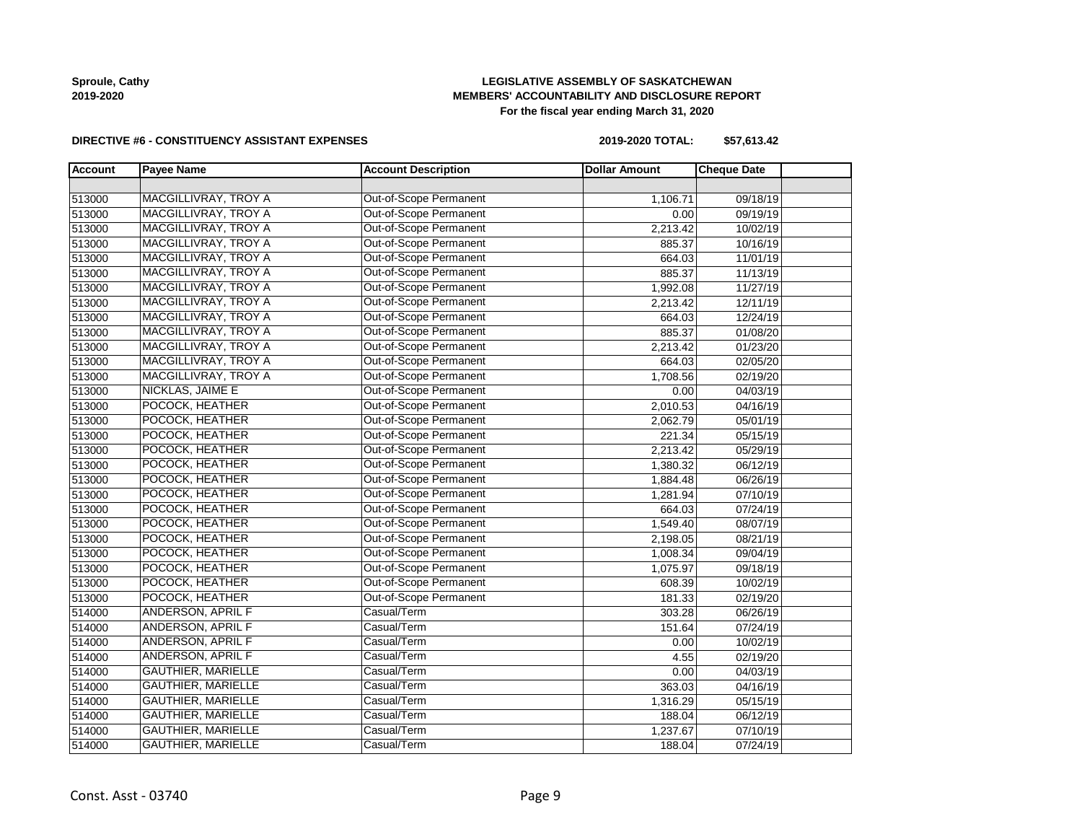## **LEGISLATIVE ASSEMBLY OF SASKATCHEWAN MEMBERS' ACCOUNTABILITY AND DISCLOSURE REPORT For the fiscal year ending March 31, 2020**

#### **DIRECTIVE #6 - CONSTITUENCY ASSISTANT EXPENSES**

**2019-2020 TOTAL: \$57,613.42**

| <b>Account</b> | <b>Payee Name</b>           | <b>Account Description</b>    | <b>Dollar Amount</b> | <b>Cheque Date</b> |
|----------------|-----------------------------|-------------------------------|----------------------|--------------------|
|                |                             |                               |                      |                    |
| 513000         | <b>MACGILLIVRAY, TROY A</b> | <b>Out-of-Scope Permanent</b> | 1,106.71             | 09/18/19           |
| 513000         | MACGILLIVRAY, TROY A        | Out-of-Scope Permanent        | 0.00                 | 09/19/19           |
| 513000         | MACGILLIVRAY, TROY A        | Out-of-Scope Permanent        | 2,213.42             | 10/02/19           |
| 513000         | MACGILLIVRAY, TROY A        | Out-of-Scope Permanent        | 885.37               | 10/16/19           |
| 513000         | MACGILLIVRAY, TROY A        | Out-of-Scope Permanent        | 664.03               | 11/01/19           |
| 513000         | MACGILLIVRAY, TROY A        | Out-of-Scope Permanent        | 885.37               | 11/13/19           |
| 513000         | <b>MACGILLIVRAY, TROY A</b> | Out-of-Scope Permanent        | 1,992.08             | 11/27/19           |
| 513000         | MACGILLIVRAY, TROY A        | Out-of-Scope Permanent        | 2,213.42             | 12/11/19           |
| 513000         | MACGILLIVRAY, TROY A        | Out-of-Scope Permanent        | 664.03               | 12/24/19           |
| 513000         | MACGILLIVRAY, TROY A        | Out-of-Scope Permanent        | 885.37               | 01/08/20           |
| 513000         | <b>MACGILLIVRAY, TROY A</b> | Out-of-Scope Permanent        | 2,213.42             | 01/23/20           |
| 513000         | <b>MACGILLIVRAY, TROY A</b> | Out-of-Scope Permanent        | 664.03               | 02/05/20           |
| 513000         | MACGILLIVRAY, TROY A        | Out-of-Scope Permanent        | 1,708.56             | 02/19/20           |
| 513000         | <b>NICKLAS, JAIME E</b>     | Out-of-Scope Permanent        | 0.00                 | 04/03/19           |
| 513000         | POCOCK, HEATHER             | Out-of-Scope Permanent        | 2,010.53             | 04/16/19           |
| 513000         | POCOCK, HEATHER             | Out-of-Scope Permanent        | 2,062.79             | 05/01/19           |
| 513000         | POCOCK, HEATHER             | Out-of-Scope Permanent        | 221.34               | 05/15/19           |
| 513000         | POCOCK, HEATHER             | Out-of-Scope Permanent        | 2,213.42             | 05/29/19           |
| 513000         | POCOCK, HEATHER             | Out-of-Scope Permanent        | 1,380.32             | 06/12/19           |
| 513000         | POCOCK, HEATHER             | Out-of-Scope Permanent        | 1,884.48             | 06/26/19           |
| 513000         | POCOCK, HEATHER             | Out-of-Scope Permanent        | 1,281.94             | 07/10/19           |
| 513000         | POCOCK, HEATHER             | Out-of-Scope Permanent        | 664.03               | 07/24/19           |
| 513000         | POCOCK, HEATHER             | Out-of-Scope Permanent        | 1,549.40             | 08/07/19           |
| 513000         | POCOCK, HEATHER             | Out-of-Scope Permanent        | 2,198.05             | 08/21/19           |
| 513000         | POCOCK, HEATHER             | Out-of-Scope Permanent        | 1,008.34             | 09/04/19           |
| 513000         | POCOCK, HEATHER             | Out-of-Scope Permanent        | 1,075.97             | 09/18/19           |
| 513000         | POCOCK, HEATHER             | Out-of-Scope Permanent        | 608.39               | 10/02/19           |
| 513000         | POCOCK, HEATHER             | Out-of-Scope Permanent        | 181.33               | 02/19/20           |
| 514000         | ANDERSON, APRIL F           | Casual/Term                   | 303.28               | 06/26/19           |
| 514000         | ANDERSON, APRIL F           | Casual/Term                   | 151.64               | 07/24/19           |
| 514000         | ANDERSON, APRIL F           | Casual/Term                   | 0.00                 | 10/02/19           |
| 514000         | ANDERSON, APRIL F           | Casual/Term                   | 4.55                 | 02/19/20           |
| 514000         | <b>GAUTHIER, MARIELLE</b>   | Casual/Term                   | 0.00                 | 04/03/19           |
| 514000         | <b>GAUTHIER, MARIELLE</b>   | Casual/Term                   | 363.03               | 04/16/19           |
| 514000         | <b>GAUTHIER, MARIELLE</b>   | Casual/Term                   | 1,316.29             | 05/15/19           |
| 514000         | <b>GAUTHIER, MARIELLE</b>   | Casual/Term                   | 188.04               | 06/12/19           |
| 514000         | <b>GAUTHIER, MARIELLE</b>   | Casual/Term                   | 1,237.67             | 07/10/19           |
| 514000         | <b>GAUTHIER, MARIELLE</b>   | Casual/Term                   | 188.04               | 07/24/19           |